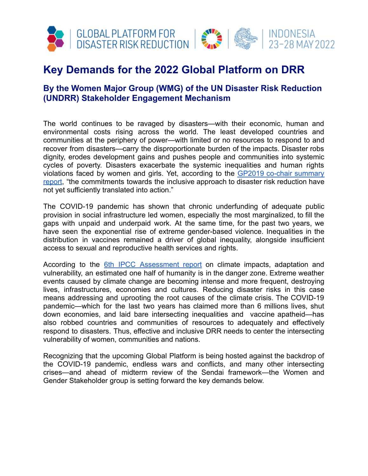

## **Key Demands for the 2022 Global Platform on DRR**

## **By the Women Major Group (WMG) of the UN Disaster Risk Reduction (UNDRR) Stakeholder Engagement Mechanism**

The world continues to be ravaged by disasters—with their economic, human and environmental costs rising across the world. The least developed countries and communities at the periphery of power—with limited or no resources to respond to and recover from disasters—carry the disproportionate burden of the impacts. Disaster robs dignity, erodes development gains and pushes people and communities into systemic cycles of poverty. Disasters exacerbate the systemic inequalities and human rights violations faced by women and girls. Yet, according to the GP2019 co-chair [summary](https://www.unisdr.org/conference/2019/globalplatform/home/assets/pdf/58809_chairsummary.pdf) [report](https://www.unisdr.org/conference/2019/globalplatform/home/assets/pdf/58809_chairsummary.pdf), "the commitments towards the inclusive approach to disaster risk reduction have not yet sufficiently translated into action."

The COVID-19 pandemic has shown that chronic underfunding of adequate public provision in social infrastructure led women, especially the most marginalized, to fill the gaps with unpaid and underpaid work. At the same time, for the past two years, we have seen the exponential rise of extreme gender-based violence. Inequalities in the distribution in vaccines remained a driver of global inequality, alongside insufficient access to sexual and reproductive health services and rights.

According to the 6th IPCC [Assessment](https://www.ipcc.ch/assessment-report/ar6/) report on climate impacts, adaptation and vulnerability, an estimated one half of humanity is in the danger zone. Extreme weather events caused by climate change are becoming intense and more frequent, destroying lives, infrastructures, economies and cultures. Reducing disaster risks in this case means addressing and uprooting the root causes of the climate crisis. The COVID-19 pandemic—which for the last two years has claimed more than 6 millions lives, shut down economies, and laid bare intersecting inequalities and vaccine apatheid—has also robbed countries and communities of resources to adequately and effectively respond to disasters. Thus, effective and inclusive DRR needs to center the intersecting vulnerability of women, communities and nations.

Recognizing that the upcoming Global Platform is being hosted against the backdrop of the COVID-19 pandemic, endless wars and conflicts, and many other intersecting crises—and ahead of midterm review of the Sendai framework—the Women and Gender Stakeholder group is setting forward the key demands below.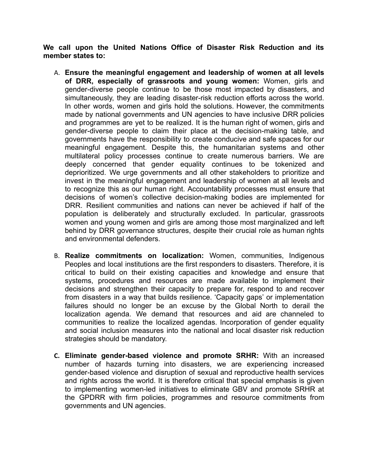**We call upon the United Nations Office of Disaster Risk Reduction and its member states to:**

- A. **Ensure the meaningful engagement and leadership of women at all levels of DRR, especially of grassroots and young women:** Women, girls and gender-diverse people continue to be those most impacted by disasters, and simultaneously, they are leading disaster-risk reduction efforts across the world. In other words, women and girls hold the solutions. However, the commitments made by national governments and UN agencies to have inclusive DRR policies and programmes are yet to be realized. It is the human right of women, girls and gender-diverse people to claim their place at the decision-making table, and governments have the responsibility to create conducive and safe spaces for our meaningful engagement. Despite this, the humanitarian systems and other multilateral policy processes continue to create numerous barriers. We are deeply concerned that gender equality continues to be tokenized and deprioritized. We urge governments and all other stakeholders to prioritize and invest in the meaningful engagement and leadership of women at all levels and to recognize this as our human right. Accountability processes must ensure that decisions of women's collective decision-making bodies are implemented for DRR. Resilient communities and nations can never be achieved if half of the population is deliberately and structurally excluded. In particular, grassroots women and young women and girls are among those most marginalized and left behind by DRR governance structures, despite their crucial role as human rights and environmental defenders.
- B. **Realize commitments on localization:** Women, communities, Indigenous Peoples and local institutions are the first responders to disasters. Therefore, it is critical to build on their existing capacities and knowledge and ensure that systems, procedures and resources are made available to implement their decisions and strengthen their capacity to prepare for, respond to and recover from disasters in a way that builds resilience. 'Capacity gaps' or implementation failures should no longer be an excuse by the Global North to derail the localization agenda. We demand that resources and aid are channeled to communities to realize the localized agendas. Incorporation of gender equality and social inclusion measures into the national and local disaster risk reduction strategies should be mandatory.
- **C. Eliminate gender-based violence and promote SRHR:** With an increased number of hazards turning into disasters, we are experiencing increased gender-based violence and disruption of sexual and reproductive health services and rights across the world. It is therefore critical that special emphasis is given to implementing women-led initiatives to eliminate GBV and promote SRHR at the GPDRR with firm policies, programmes and resource commitments from governments and UN agencies.